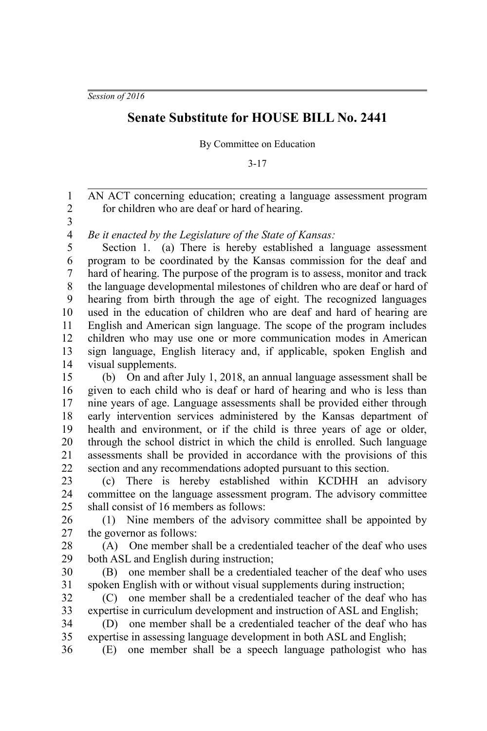*Session of 2016*

## **Senate Substitute for HOUSE BILL No. 2441**

By Committee on Education

3-17

AN ACT concerning education; creating a language assessment program for children who are deaf or hard of hearing. 1 2

3

*Be it enacted by the Legislature of the State of Kansas:* 4

Section 1. (a) There is hereby established a language assessment program to be coordinated by the Kansas commission for the deaf and hard of hearing. The purpose of the program is to assess, monitor and track the language developmental milestones of children who are deaf or hard of hearing from birth through the age of eight. The recognized languages used in the education of children who are deaf and hard of hearing are English and American sign language. The scope of the program includes children who may use one or more communication modes in American sign language, English literacy and, if applicable, spoken English and visual supplements. 5 6 7 8 9 10 11 12 13 14

(b) On and after July 1, 2018, an annual language assessment shall be given to each child who is deaf or hard of hearing and who is less than nine years of age. Language assessments shall be provided either through early intervention services administered by the Kansas department of health and environment, or if the child is three years of age or older, through the school district in which the child is enrolled. Such language assessments shall be provided in accordance with the provisions of this section and any recommendations adopted pursuant to this section. 15 16 17 18 19 20 21 22

(c) There is hereby established within KCDHH an advisory committee on the language assessment program. The advisory committee shall consist of 16 members as follows: 23 24 25

(1) Nine members of the advisory committee shall be appointed by the governor as follows: 26 27

(A) One member shall be a credentialed teacher of the deaf who uses both ASL and English during instruction; 28 29

(B) one member shall be a credentialed teacher of the deaf who uses spoken English with or without visual supplements during instruction; 30 31

(C) one member shall be a credentialed teacher of the deaf who has expertise in curriculum development and instruction of ASL and English; 32 33

(D) one member shall be a credentialed teacher of the deaf who has expertise in assessing language development in both ASL and English; 34 35 36

(E) one member shall be a speech language pathologist who has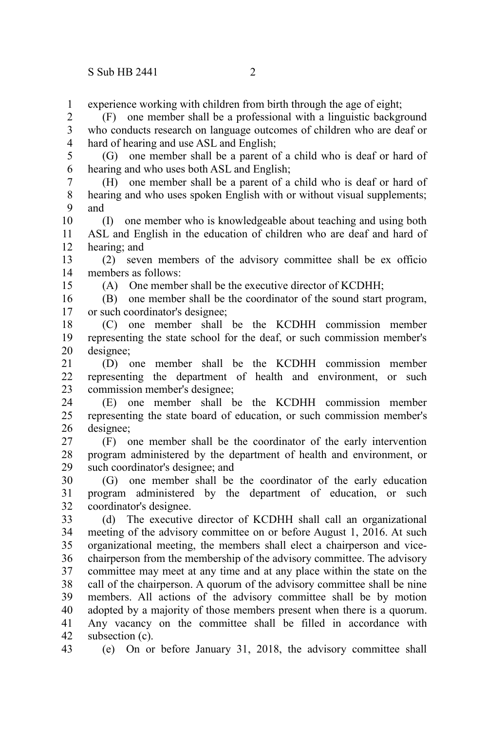15

experience working with children from birth through the age of eight; 1

(F) one member shall be a professional with a linguistic background who conducts research on language outcomes of children who are deaf or hard of hearing and use ASL and English; 2 3 4

(G) one member shall be a parent of a child who is deaf or hard of hearing and who uses both ASL and English; 5 6

(H) one member shall be a parent of a child who is deaf or hard of hearing and who uses spoken English with or without visual supplements; and 7 8 9

(I) one member who is knowledgeable about teaching and using both ASL and English in the education of children who are deaf and hard of hearing; and 10 11 12

(2) seven members of the advisory committee shall be ex officio members as follows: 13 14

(A) One member shall be the executive director of KCDHH;

(B) one member shall be the coordinator of the sound start program, or such coordinator's designee; 16 17

(C) one member shall be the KCDHH commission member representing the state school for the deaf, or such commission member's designee; 18 19 20

(D) one member shall be the KCDHH commission member representing the department of health and environment, or such commission member's designee; 21 22 23

(E) one member shall be the KCDHH commission member representing the state board of education, or such commission member's designee; 24 25 26

(F) one member shall be the coordinator of the early intervention program administered by the department of health and environment, or such coordinator's designee; and 27 28 29

(G) one member shall be the coordinator of the early education program administered by the department of education, or such coordinator's designee. 30 31 32

(d) The executive director of KCDHH shall call an organizational meeting of the advisory committee on or before August 1, 2016. At such organizational meeting, the members shall elect a chairperson and vicechairperson from the membership of the advisory committee. The advisory committee may meet at any time and at any place within the state on the call of the chairperson. A quorum of the advisory committee shall be nine members. All actions of the advisory committee shall be by motion adopted by a majority of those members present when there is a quorum. Any vacancy on the committee shall be filled in accordance with subsection (c). 33 34 35 36 37 38 39 40 41 42

(e) On or before January 31, 2018, the advisory committee shall 43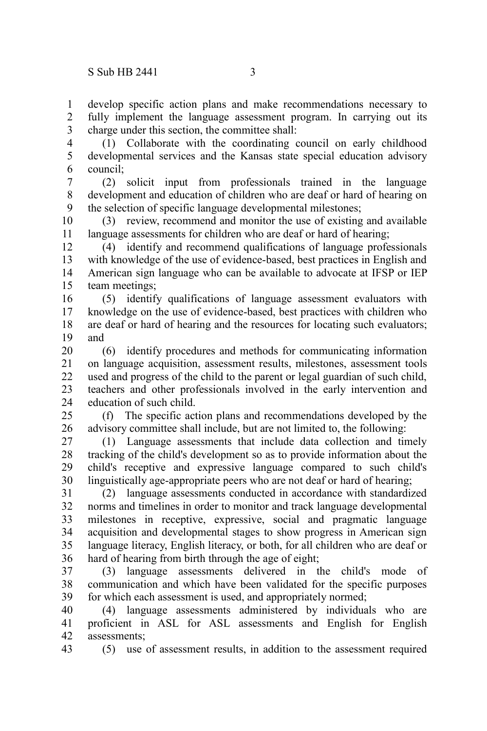develop specific action plans and make recommendations necessary to fully implement the language assessment program. In carrying out its charge under this section, the committee shall: 1 2 3

(1) Collaborate with the coordinating council on early childhood developmental services and the Kansas state special education advisory council; 4 5 6

(2) solicit input from professionals trained in the language development and education of children who are deaf or hard of hearing on the selection of specific language developmental milestones; 7 8 9

(3) review, recommend and monitor the use of existing and available language assessments for children who are deaf or hard of hearing; 10 11

(4) identify and recommend qualifications of language professionals with knowledge of the use of evidence-based, best practices in English and American sign language who can be available to advocate at IFSP or IEP team meetings; 12 13 14 15

(5) identify qualifications of language assessment evaluators with knowledge on the use of evidence-based, best practices with children who are deaf or hard of hearing and the resources for locating such evaluators; and 16 17 18 19

(6) identify procedures and methods for communicating information on language acquisition, assessment results, milestones, assessment tools used and progress of the child to the parent or legal guardian of such child, teachers and other professionals involved in the early intervention and education of such child. 20 21 22 23 24

(f) The specific action plans and recommendations developed by the advisory committee shall include, but are not limited to, the following:  $25$ 26

(1) Language assessments that include data collection and timely tracking of the child's development so as to provide information about the child's receptive and expressive language compared to such child's linguistically age-appropriate peers who are not deaf or hard of hearing; 27 28 29 30

(2) language assessments conducted in accordance with standardized norms and timelines in order to monitor and track language developmental milestones in receptive, expressive, social and pragmatic language acquisition and developmental stages to show progress in American sign language literacy, English literacy, or both, for all children who are deaf or hard of hearing from birth through the age of eight; 31 32 33 34 35 36

(3) language assessments delivered in the child's mode of communication and which have been validated for the specific purposes for which each assessment is used, and appropriately normed; 37 38 39

(4) language assessments administered by individuals who are proficient in ASL for ASL assessments and English for English assessments; 40 41 42

(5) use of assessment results, in addition to the assessment required 43